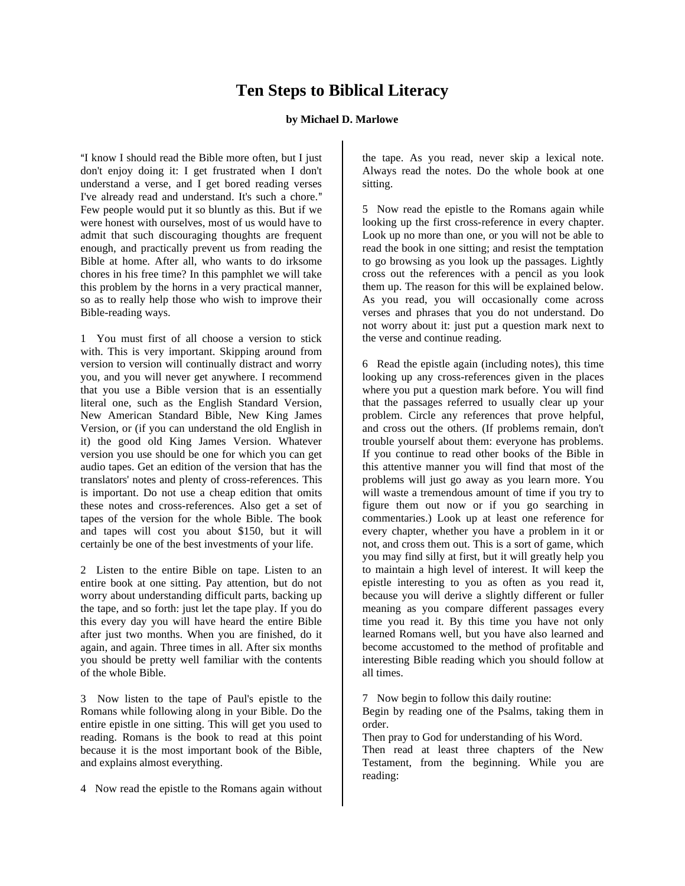## **Ten Steps to Biblical Literacy**

## **by Michael D. Marlowe**

"I know I should read the Bible more often, but I just don't enjoy doing it: I get frustrated when I don't understand a verse, and I get bored reading verses I've already read and understand. It's such a chore." Few people would put it so bluntly as this. But if we were honest with ourselves, most of us would have to admit that such discouraging thoughts are frequent enough, and practically prevent us from reading the Bible at home. After all, who wants to do irksome chores in his free time? In this pamphlet we will take this problem by the horns in a very practical manner, so as to really help those who wish to improve their Bible-reading ways.

1 You must first of all choose a version to stick with. This is very important. Skipping around from version to version will continually distract and worry you, and you will never get anywhere. I recommend that you use a Bible version that is an essentially literal one, such as the English Standard Version, New American Standard Bible, New King James Version, or (if you can understand the old English in it) the good old King James Version. Whatever version you use should be one for which you can get audio tapes. Get an edition of the version that has the translators' notes and plenty of cross-references. This is important. Do not use a cheap edition that omits these notes and cross-references. Also get a set of tapes of the version for the whole Bible. The book and tapes will cost you about \$150, but it will certainly be one of the best investments of your life.

2 Listen to the entire Bible on tape. Listen to an entire book at one sitting. Pay attention, but do not worry about understanding difficult parts, backing up the tape, and so forth: just let the tape play. If you do this every day you will have heard the entire Bible after just two months. When you are finished, do it again, and again. Three times in all. After six months you should be pretty well familiar with the contents of the whole Bible.

3 Now listen to the tape of Paul's epistle to the Romans while following along in your Bible. Do the entire epistle in one sitting. This will get you used to reading. Romans is the book to read at this point because it is the most important book of the Bible, and explains almost everything.

4 Now read the epistle to the Romans again without

the tape. As you read, never skip a lexical note. Always read the notes. Do the whole book at one sitting.

5 Now read the epistle to the Romans again while looking up the first cross-reference in every chapter. Look up no more than one, or you will not be able to read the book in one sitting; and resist the temptation to go browsing as you look up the passages. Lightly cross out the references with a pencil as you look them up. The reason for this will be explained below. As you read, you will occasionally come across verses and phrases that you do not understand. Do not worry about it: just put a question mark next to the verse and continue reading.

6 Read the epistle again (including notes), this time looking up any cross-references given in the places where you put a question mark before. You will find that the passages referred to usually clear up your problem. Circle any references that prove helpful, and cross out the others. (If problems remain, don't trouble yourself about them: everyone has problems. If you continue to read other books of the Bible in this attentive manner you will find that most of the problems will just go away as you learn more. You will waste a tremendous amount of time if you try to figure them out now or if you go searching in commentaries.) Look up at least one reference for every chapter, whether you have a problem in it or not, and cross them out. This is a sort of game, which you may find silly at first, but it will greatly help you to maintain a high level of interest. It will keep the epistle interesting to you as often as you read it, because you will derive a slightly different or fuller meaning as you compare different passages every time you read it. By this time you have not only learned Romans well, but you have also learned and become accustomed to the method of profitable and interesting Bible reading which you should follow at all times.

7 Now begin to follow this daily routine:

Begin by reading one of the Psalms, taking them in order.

Then pray to God for understanding of his Word. Then read at least three chapters of the New Testament, from the beginning. While you are reading: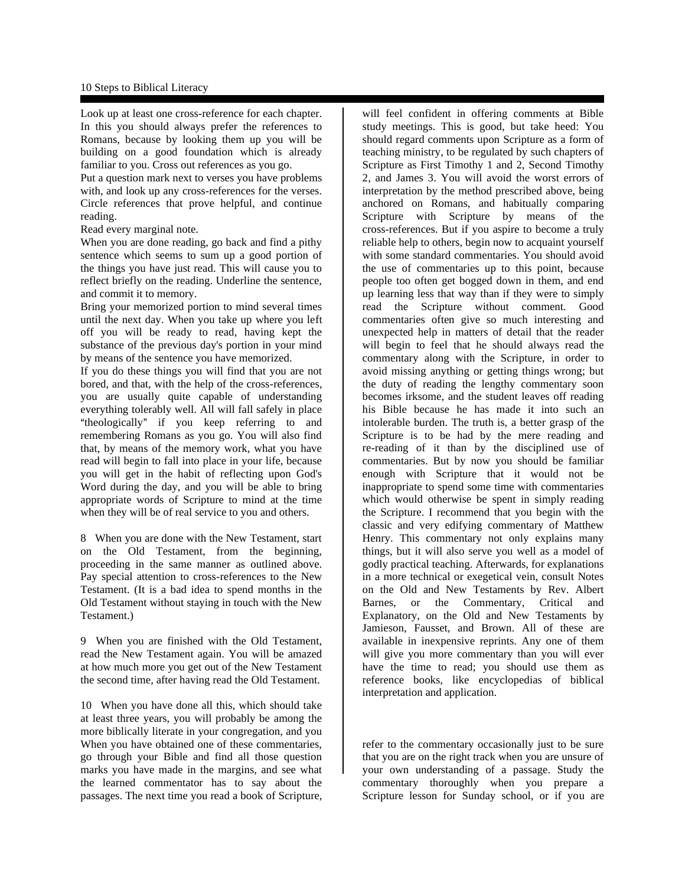## 10 Steps to Biblical Literacy

Look up at least one cross-reference for each chapter. In this you should always prefer the references to Romans, because by looking them up you will be building on a good foundation which is already familiar to you. Cross out references as you go.

Put a question mark next to verses you have problems with, and look up any cross-references for the verses. Circle references that prove helpful, and continue reading.

Read every marginal note.

When you are done reading, go back and find a pithy sentence which seems to sum up a good portion of the things you have just read. This will cause you to reflect briefly on the reading. Underline the sentence, and commit it to memory.

Bring your memorized portion to mind several times until the next day. When you take up where you left off you will be ready to read, having kept the substance of the previous day's portion in your mind by means of the sentence you have memorized.

If you do these things you will find that you are not bored, and that, with the help of the cross-references, you are usually quite capable of understanding everything tolerably well. All will fall safely in place "theologically" if you keep referring to and remembering Romans as you go. You will also find that, by means of the memory work, what you have read will begin to fall into place in your life, because you will get in the habit of reflecting upon God's Word during the day, and you will be able to bring appropriate words of Scripture to mind at the time when they will be of real service to you and others.

8 When you are done with the New Testament, start on the Old Testament, from the beginning, proceeding in the same manner as outlined above. Pay special attention to cross-references to the New Testament. (It is a bad idea to spend months in the Old Testament without staying in touch with the New Testament.)

9 When you are finished with the Old Testament, read the New Testament again. You will be amazed at how much more you get out of the New Testament the second time, after having read the Old Testament.

10 When you have done all this, which should take at least three years, you will probably be among the more biblically literate in your congregation, and you When you have obtained one of these commentaries, go through your Bible and find all those question marks you have made in the margins, and see what the learned commentator has to say about the passages. The next time you read a book of Scripture,

will feel confident in offering comments at Bible study meetings. This is good, but take heed: You should regard comments upon Scripture as a form of teaching ministry, to be regulated by such chapters of Scripture as First Timothy 1 and 2, Second Timothy 2, and James 3. You will avoid the worst errors of interpretation by the method prescribed above, being anchored on Romans, and habitually comparing Scripture with Scripture by means of the cross-references. But if you aspire to become a truly reliable help to others, begin now to acquaint yourself with some standard commentaries. You should avoid the use of commentaries up to this point, because people too often get bogged down in them, and end up learning less that way than if they were to simply read the Scripture without comment. Good commentaries often give so much interesting and unexpected help in matters of detail that the reader will begin to feel that he should always read the commentary along with the Scripture, in order to avoid missing anything or getting things wrong; but the duty of reading the lengthy commentary soon becomes irksome, and the student leaves off reading his Bible because he has made it into such an intolerable burden. The truth is, a better grasp of the Scripture is to be had by the mere reading and re-reading of it than by the disciplined use of commentaries. But by now you should be familiar enough with Scripture that it would not be inappropriate to spend some time with commentaries which would otherwise be spent in simply reading the Scripture. I recommend that you begin with the classic and very edifying commentary of Matthew Henry. This commentary not only explains many things, but it will also serve you well as a model of godly practical teaching. Afterwards, for explanations in a more technical or exegetical vein, consult Notes on the Old and New Testaments by Rev. Albert Barnes, or the Commentary, Critical and Explanatory, on the Old and New Testaments by Jamieson, Fausset, and Brown. All of these are available in inexpensive reprints. Any one of them will give you more commentary than you will ever have the time to read; you should use them as reference books, like encyclopedias of biblical interpretation and application.

refer to the commentary occasionally just to be sure that you are on the right track when you are unsure of your own understanding of a passage. Study the commentary thoroughly when you prepare a Scripture lesson for Sunday school, or if you are